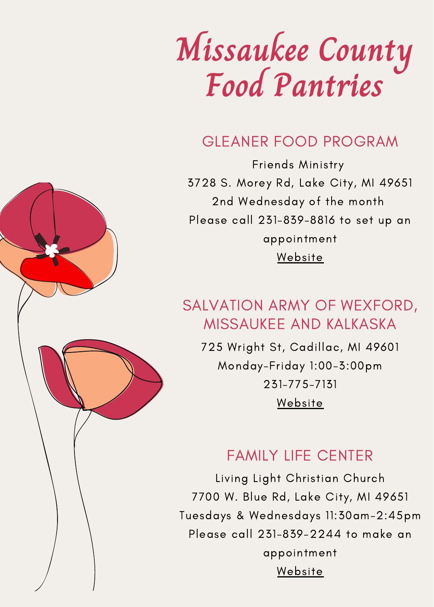# **Missaukee County Food Pantries**

### GLEANER FOOD PROGRAM

Friends Ministry 3728 S. Morey Rd, Lake City, MI 49651 2nd Wednesday of the month Please call 231-839-8816 to set up an appointment [Website](http://friendsministry.net/gleaner-food-pantry.html)

### SALVATION ARMY OF WEXFORD, MISSAUKEE AND KALKASKA

725 Wright St, Cadillac, MI 49601 Monday-Friday 1:00-3:00pm 231-775-7131 [Website](https://centralusa.salvationarmy.org/Cadillac/overcome-poverty/)

#### FAMILY LIFE CENTER

Living Light Christian Church 7700 W. Blue Rd, Lake City, MI 49651 Tuesdays & Wednesdays 11:30am-2:45pm Please call 231-839-2244 to make an appointment [Website](https://livinglightchurch.com/family-life-center/)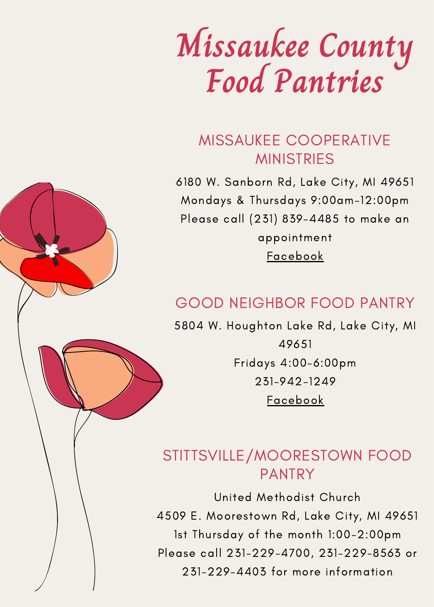# **Missaukee County Food Pantries**

### MISSAUKEE COOPERATIVE **MINISTRIES**

6180 W. Sanborn Rd, Lake City, MI 49651 Mondays & Thursdays 9:00am-12:00pm Please call (231) 839-4485 to make an appointment [Facebook](https://www.facebook.com/pages/category/Mission/Missaukee-Co-Co-operative-Ministry-2334458530102747/)

### GOOD NEIGHBOR FOOD PANTRY

5804 W. Houghton Lake Rd, Lake City, MI 49651 Fridays 4:00-6:00pm 231-942-1249 [Facebook](https://www.facebook.com/goodneighborfoodpantry)

### STITTSVILLE/MOORESTOWN FOOD PANTRY

United Methodist Church 4509 E. Moorestown Rd, Lake City, MI 49651 1st Thursday of the month 1:00-2:00pm Please call 231-229-4700, 231-229-8563 or 231-229-4403 for more information

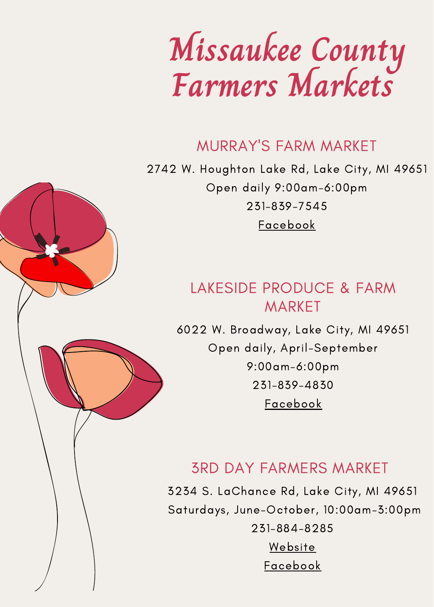# **Missaukee County Farmers Markets**

#### MURRAY'S FARM MARKET

2742 W. Houghton Lake Rd, Lake City, MI 49651 Open daily 9:00am-6:00pm 231-839-7545 [Facebook](https://www.facebook.com/MurraysFarmMarket)

### LAKESIDE PRODUCE & FARM **MARKET**

6022 W. Broadway, Lake City, MI 49651 Open daily, April-September 9:00am-6:00pm 231-839-4830 [Facebook](https://www.facebook.com/LakesideLakeCityMi)

### 3RD DAY FARMERS MARKET

3234 S. LaChance Rd, Lake City, MI 49651 Saturdays, June-October, 10:00am-3:00pm 231-884-8285 [Website](https://3rddayfarm.com/?fbclid=IwAR2ZAPF_aEEhxQz61lA-0rlTkXqLyyysDw3atIYDasN9_4nbChlg9nz1Vrk)

[Facebook](https://www.facebook.com/3rd-Day-Farm-280104768755829)